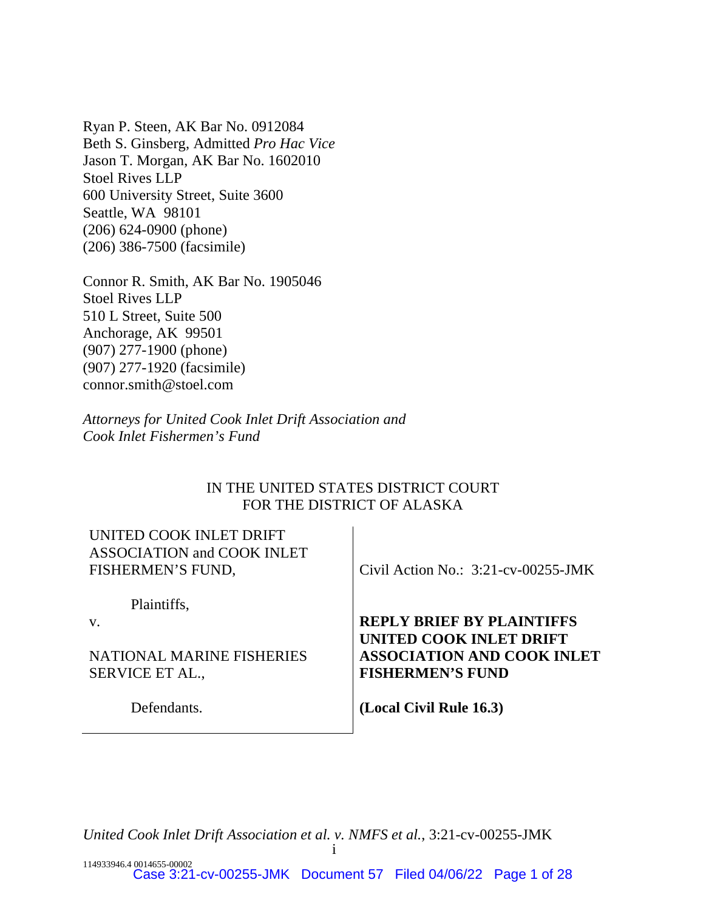Ryan P. Steen, AK Bar No. 0912084 Beth S. Ginsberg, Admitted *Pro Hac Vice* Jason T. Morgan, AK Bar No. 1602010 Stoel Rives LLP 600 University Street, Suite 3600 Seattle, WA 98101 (206) 624-0900 (phone) (206) 386-7500 (facsimile)

Connor R. Smith, AK Bar No. 1905046 Stoel Rives LLP 510 L Street, Suite 500 Anchorage, AK 99501 (907) 277-1900 (phone) (907) 277-1920 (facsimile) connor.smith@stoel.com

*Attorneys for United Cook Inlet Drift Association and Cook Inlet Fishermen's Fund* 

# IN THE UNITED STATES DISTRICT COURT FOR THE DISTRICT OF ALASKA

| UNITED COOK INLET DRIFT<br><b>ASSOCIATION and COOK INLET</b><br>FISHERMEN'S FUND, | Civil Action No.: $3:21$ -cv-00255-JMK                                                  |
|-----------------------------------------------------------------------------------|-----------------------------------------------------------------------------------------|
| Plaintiffs,                                                                       |                                                                                         |
| V.                                                                                | <b>REPLY BRIEF BY PLAINTIFFS</b>                                                        |
| NATIONAL MARINE FISHERIES<br><b>SERVICE ET AL.,</b>                               | UNITED COOK INLET DRIFT<br><b>ASSOCIATION AND COOK INLET</b><br><b>FISHERMEN'S FUND</b> |
| Defendants.                                                                       | (Local Civil Rule 16.3)                                                                 |

*United Cook Inlet Drift Association et al. v. NMFS et al.*, 3:21-cv-00255-JMK

i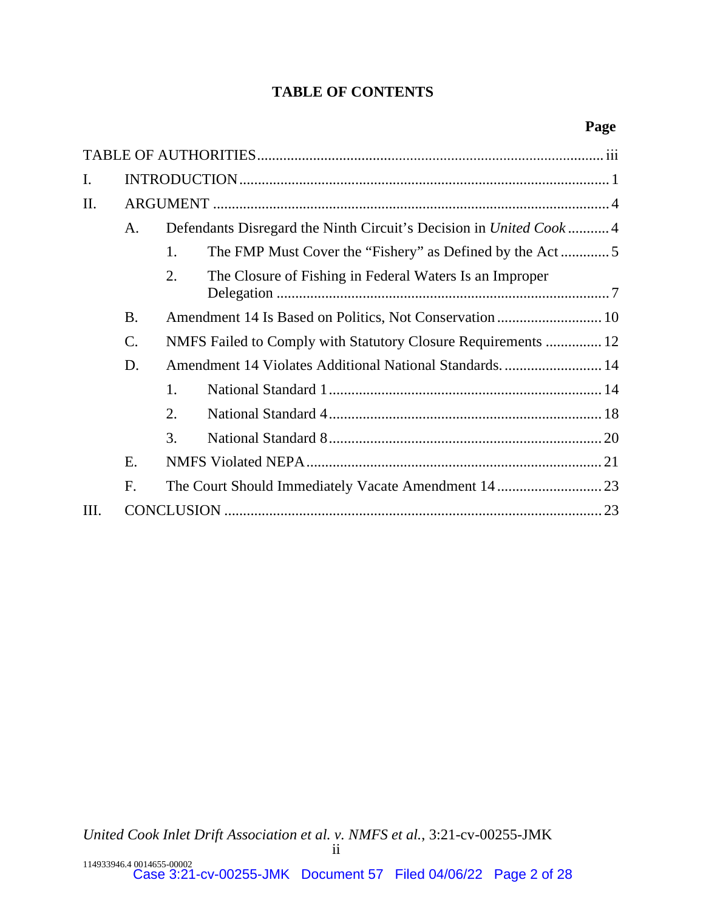# **TABLE OF CONTENTS**

| I.  |                 |                                                                   |                                                         |  |  |
|-----|-----------------|-------------------------------------------------------------------|---------------------------------------------------------|--|--|
| II. |                 |                                                                   |                                                         |  |  |
|     | A.              | Defendants Disregard the Ninth Circuit's Decision in United Cook4 |                                                         |  |  |
|     |                 | 1.                                                                |                                                         |  |  |
|     |                 | 2.                                                                | The Closure of Fishing in Federal Waters Is an Improper |  |  |
|     | <b>B.</b>       |                                                                   |                                                         |  |  |
|     | $\mathcal{C}$ . | NMFS Failed to Comply with Statutory Closure Requirements  12     |                                                         |  |  |
|     | D.              | Amendment 14 Violates Additional National Standards.  14          |                                                         |  |  |
|     |                 | 1.                                                                |                                                         |  |  |
|     |                 | 2.                                                                |                                                         |  |  |
|     |                 | 3.                                                                |                                                         |  |  |
|     | E.              |                                                                   |                                                         |  |  |
|     | F.              |                                                                   |                                                         |  |  |
| Ш.  |                 |                                                                   |                                                         |  |  |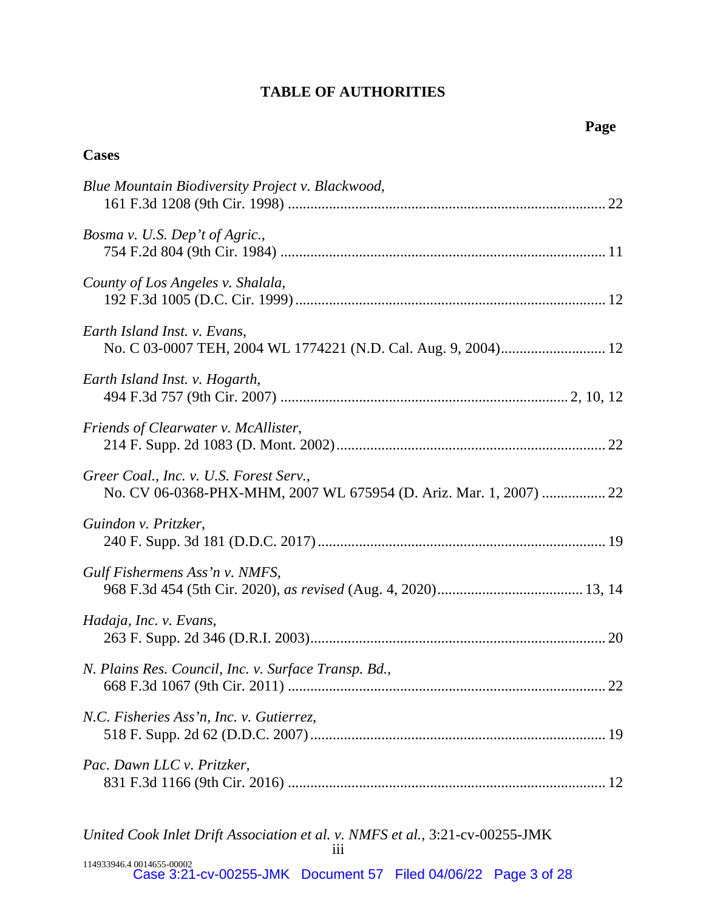# **TABLE OF AUTHORITIES**

**Cases** 

| Blue Mountain Biodiversity Project v. Blackwood,                                                              |
|---------------------------------------------------------------------------------------------------------------|
| Bosma v. U.S. Dep't of Agric.,                                                                                |
| County of Los Angeles v. Shalala,                                                                             |
| Earth Island Inst. v. Evans,                                                                                  |
| Earth Island Inst. v. Hogarth,                                                                                |
| Friends of Clearwater v. McAllister,                                                                          |
| Greer Coal., Inc. v. U.S. Forest Serv.,<br>No. CV 06-0368-PHX-MHM, 2007 WL 675954 (D. Ariz. Mar. 1, 2007)  22 |
| Guindon v. Pritzker,                                                                                          |
| Gulf Fishermens Ass'n v. NMFS,                                                                                |
| Hadaja, Inc. v. Evans,                                                                                        |
| N. Plains Res. Council, Inc. v. Surface Transp. Bd.,                                                          |
| N.C. Fisheries Ass'n, Inc. v. Gutierrez,                                                                      |
| Pac. Dawn LLC v. Pritzker,                                                                                    |
|                                                                                                               |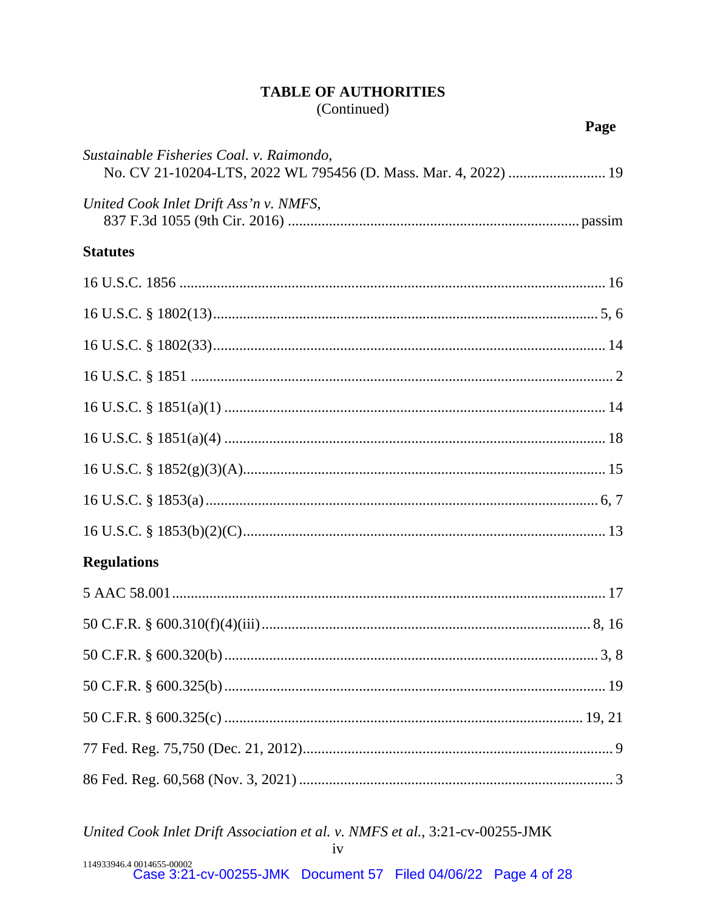# **TABLE OF AUTHORITIES**

(Continued)

Page

| Sustainable Fisheries Coal. v. Raimondo,<br>No. CV 21-10204-LTS, 2022 WL 795456 (D. Mass. Mar. 4, 2022)  19 |
|-------------------------------------------------------------------------------------------------------------|
| United Cook Inlet Drift Ass'n v. NMFS,                                                                      |
| <b>Statutes</b>                                                                                             |
|                                                                                                             |
|                                                                                                             |
|                                                                                                             |
|                                                                                                             |
|                                                                                                             |
|                                                                                                             |
|                                                                                                             |
|                                                                                                             |
|                                                                                                             |
| <b>Regulations</b>                                                                                          |
|                                                                                                             |
|                                                                                                             |
|                                                                                                             |
|                                                                                                             |
|                                                                                                             |
|                                                                                                             |
|                                                                                                             |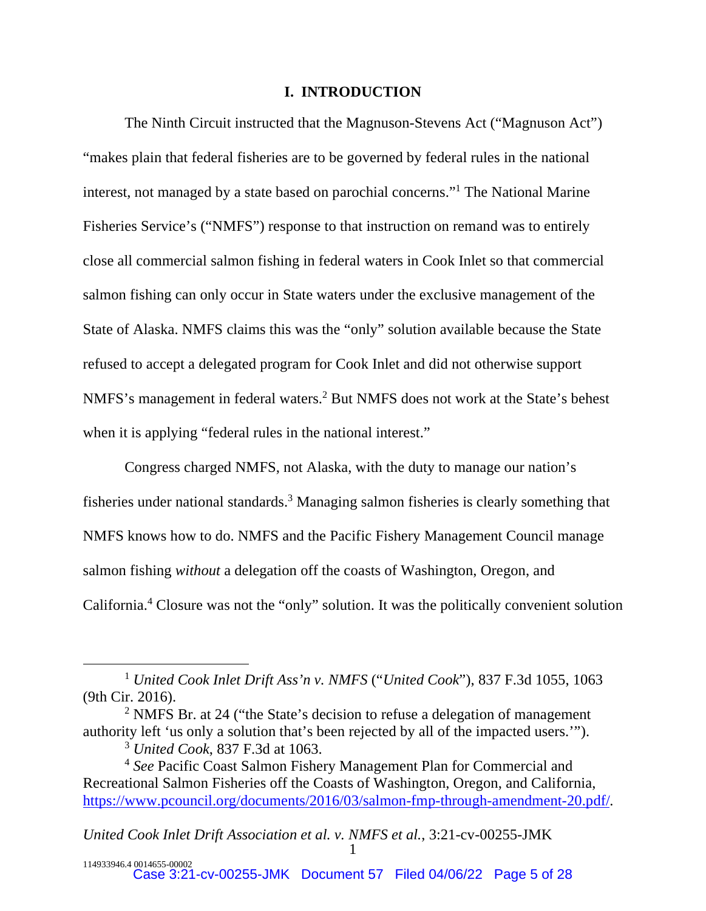#### **I. INTRODUCTION**

The Ninth Circuit instructed that the Magnuson-Stevens Act ("Magnuson Act") "makes plain that federal fisheries are to be governed by federal rules in the national interest, not managed by a state based on parochial concerns."<sup>1</sup> The National Marine Fisheries Service's ("NMFS") response to that instruction on remand was to entirely close all commercial salmon fishing in federal waters in Cook Inlet so that commercial salmon fishing can only occur in State waters under the exclusive management of the State of Alaska. NMFS claims this was the "only" solution available because the State refused to accept a delegated program for Cook Inlet and did not otherwise support NMFS's management in federal waters.<sup>2</sup> But NMFS does not work at the State's behest when it is applying "federal rules in the national interest."

Congress charged NMFS, not Alaska, with the duty to manage our nation's fisheries under national standards.<sup>3</sup> Managing salmon fisheries is clearly something that NMFS knows how to do. NMFS and the Pacific Fishery Management Council manage salmon fishing *without* a delegation off the coasts of Washington, Oregon, and California.<sup>4</sup> Closure was not the "only" solution. It was the politically convenient solution

<sup>1</sup> *United Cook Inlet Drift Ass'n v. NMFS* ("*United Cook*"), 837 F.3d 1055, 1063 (9th Cir. 2016).

<sup>&</sup>lt;sup>2</sup> NMFS Br. at 24 ("the State's decision to refuse a delegation of management authority left 'us only a solution that's been rejected by all of the impacted users.'").

<sup>3</sup> *United Cook*, 837 F.3d at 1063.

<sup>4</sup> *See* Pacific Coast Salmon Fishery Management Plan for Commercial and Recreational Salmon Fisheries off the Coasts of Washington, Oregon, and California, [https://www.pcouncil.org/documents/2016/03/salmon-fmp-through-amendment-20.pdf/.](https://www.pcouncil.org/documents/2016/03/salmon-fmp-through-amendment-20.pdf/)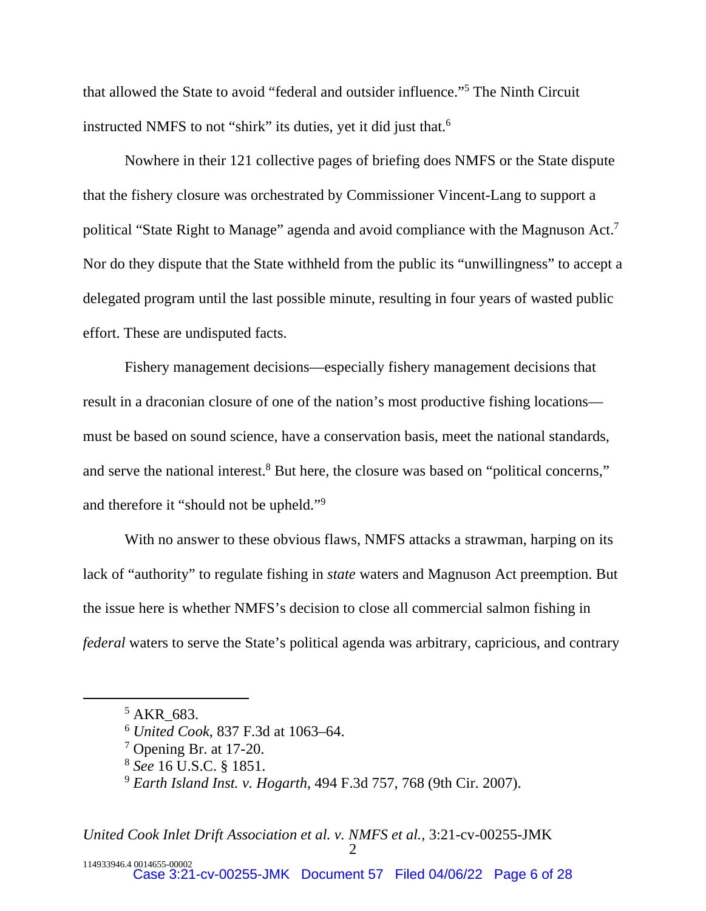that allowed the State to avoid "federal and outsider influence."<sup>5</sup> The Ninth Circuit instructed NMFS to not "shirk" its duties, yet it did just that.<sup>6</sup>

Nowhere in their 121 collective pages of briefing does NMFS or the State dispute that the fishery closure was orchestrated by Commissioner Vincent-Lang to support a political "State Right to Manage" agenda and avoid compliance with the Magnuson Act.<sup>7</sup> Nor do they dispute that the State withheld from the public its "unwillingness" to accept a delegated program until the last possible minute, resulting in four years of wasted public effort. These are undisputed facts.

Fishery management decisions—especially fishery management decisions that result in a draconian closure of one of the nation's most productive fishing locations must be based on sound science, have a conservation basis, meet the national standards, and serve the national interest.<sup>8</sup> But here, the closure was based on "political concerns," and therefore it "should not be upheld."<sup>9</sup>

With no answer to these obvious flaws, NMFS attacks a strawman, harping on its lack of "authority" to regulate fishing in *state* waters and Magnuson Act preemption. But the issue here is whether NMFS's decision to close all commercial salmon fishing in *federal* waters to serve the State's political agenda was arbitrary, capricious, and contrary

 $5$  AKR\_683.

<sup>6</sup> *United Cook*, 837 F.3d at 1063–64.

<sup>7</sup> Opening Br. at 17-20.

<sup>8</sup> *See* 16 U.S.C. § 1851.

<sup>9</sup> *Earth Island Inst. v. Hogarth*, 494 F.3d 757, 768 (9th Cir. 2007).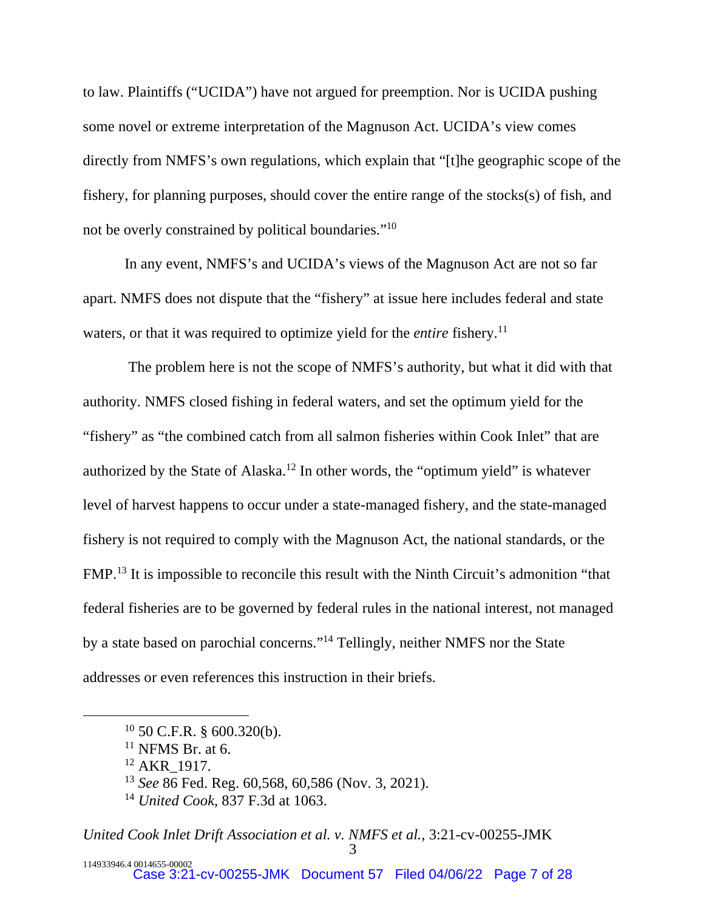to law. Plaintiffs ("UCIDA") have not argued for preemption. Nor is UCIDA pushing some novel or extreme interpretation of the Magnuson Act. UCIDA's view comes directly from NMFS's own regulations, which explain that "[t]he geographic scope of the fishery, for planning purposes, should cover the entire range of the stocks(s) of fish, and not be overly constrained by political boundaries."<sup>10</sup>

In any event, NMFS's and UCIDA's views of the Magnuson Act are not so far apart. NMFS does not dispute that the "fishery" at issue here includes federal and state waters, or that it was required to optimize yield for the *entire* fishery.<sup>11</sup>

 The problem here is not the scope of NMFS's authority, but what it did with that authority. NMFS closed fishing in federal waters, and set the optimum yield for the "fishery" as "the combined catch from all salmon fisheries within Cook Inlet" that are authorized by the State of Alaska.<sup>12</sup> In other words, the "optimum yield" is whatever level of harvest happens to occur under a state-managed fishery, and the state-managed fishery is not required to comply with the Magnuson Act, the national standards, or the FMP.<sup>13</sup> It is impossible to reconcile this result with the Ninth Circuit's admonition "that federal fisheries are to be governed by federal rules in the national interest, not managed by a state based on parochial concerns."<sup>14</sup> Tellingly, neither NMFS nor the State addresses or even references this instruction in their briefs.

 $10$  50 C.F.R. § 600.320(b).

 $11$  NFMS Br. at 6.

<sup>&</sup>lt;sup>12</sup> AKR 1917.

<sup>13</sup> *See* 86 Fed. Reg. 60,568, 60,586 (Nov. 3, 2021).

<sup>14</sup> *United Cook*, 837 F.3d at 1063.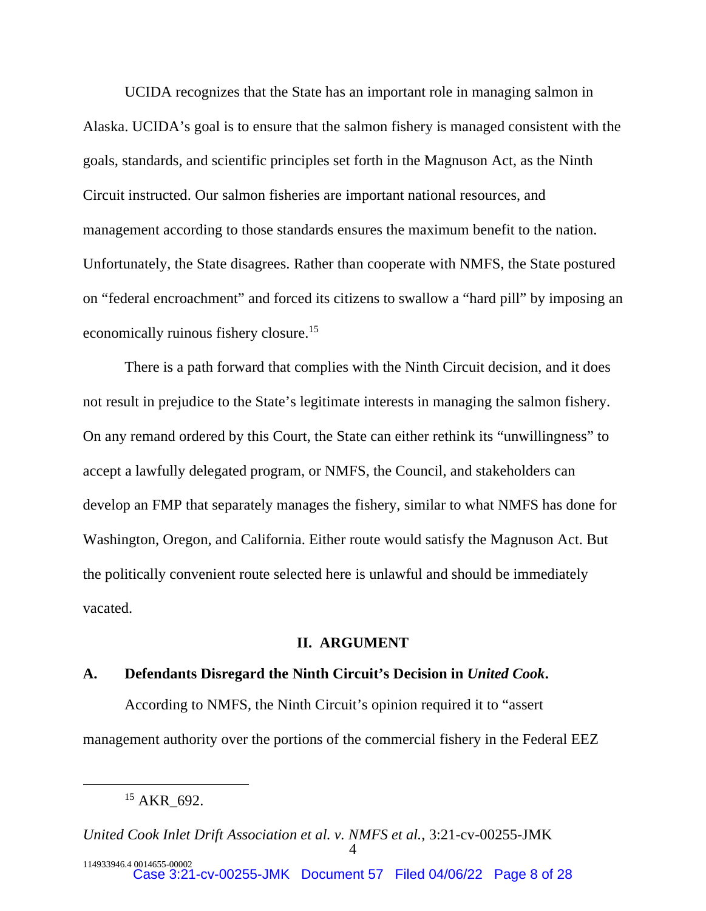UCIDA recognizes that the State has an important role in managing salmon in Alaska. UCIDA's goal is to ensure that the salmon fishery is managed consistent with the goals, standards, and scientific principles set forth in the Magnuson Act, as the Ninth Circuit instructed. Our salmon fisheries are important national resources, and management according to those standards ensures the maximum benefit to the nation. Unfortunately, the State disagrees. Rather than cooperate with NMFS, the State postured on "federal encroachment" and forced its citizens to swallow a "hard pill" by imposing an economically ruinous fishery closure.<sup>15</sup>

There is a path forward that complies with the Ninth Circuit decision, and it does not result in prejudice to the State's legitimate interests in managing the salmon fishery. On any remand ordered by this Court, the State can either rethink its "unwillingness" to accept a lawfully delegated program, or NMFS, the Council, and stakeholders can develop an FMP that separately manages the fishery, similar to what NMFS has done for Washington, Oregon, and California. Either route would satisfy the Magnuson Act. But the politically convenient route selected here is unlawful and should be immediately vacated.

## **II. ARGUMENT**

#### **A. Defendants Disregard the Ninth Circuit's Decision in** *United Cook***.**

According to NMFS, the Ninth Circuit's opinion required it to "assert management authority over the portions of the commercial fishery in the Federal EEZ

<sup>&</sup>lt;sup>15</sup> AKR 692.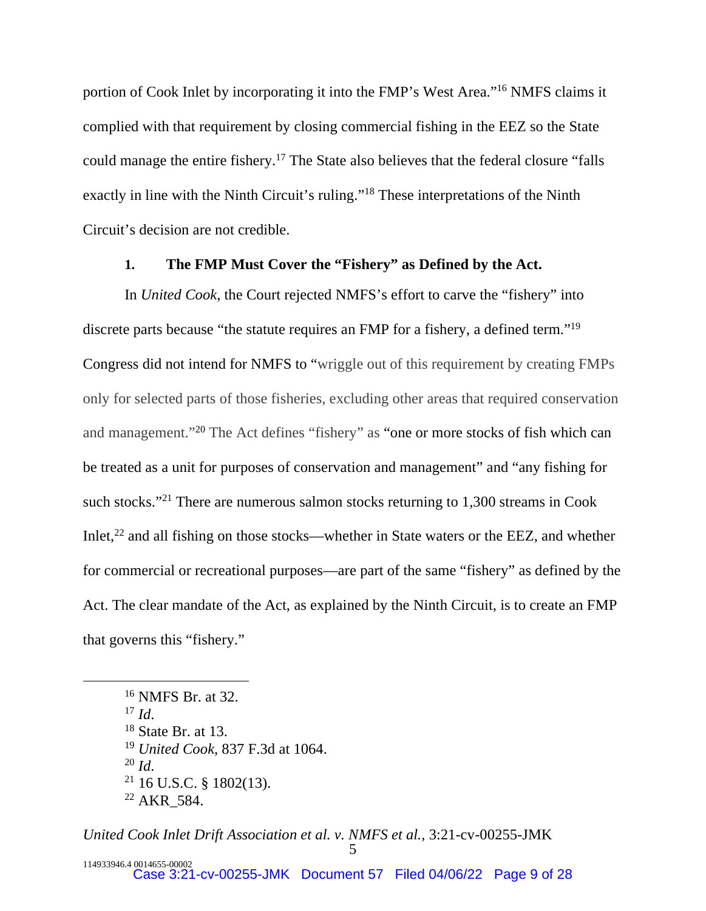portion of Cook Inlet by incorporating it into the FMP's West Area."<sup>16</sup> NMFS claims it complied with that requirement by closing commercial fishing in the EEZ so the State could manage the entire fishery.<sup>17</sup> The State also believes that the federal closure "falls exactly in line with the Ninth Circuit's ruling."<sup>18</sup> These interpretations of the Ninth Circuit's decision are not credible.

# **1. The FMP Must Cover the "Fishery" as Defined by the Act.**

In *United Cook*, the Court rejected NMFS's effort to carve the "fishery" into discrete parts because "the statute requires an FMP for a fishery, a defined term."<sup>19</sup> Congress did not intend for NMFS to "wriggle out of this requirement by creating FMPs only for selected parts of those fisheries, excluding other areas that required conservation and management."<sup>20</sup> The Act defines "fishery" as "one or more stocks of fish which can be treated as a unit for purposes of conservation and management" and "any fishing for such stocks."<sup>21</sup> There are numerous salmon stocks returning to 1,300 streams in Cook Inlet,<sup>22</sup> and all fishing on those stocks—whether in State waters or the EEZ, and whether for commercial or recreational purposes—are part of the same "fishery" as defined by the Act. The clear mandate of the Act, as explained by the Ninth Circuit, is to create an FMP that governs this "fishery."

 NMFS Br. at 32. <sup>17</sup> *Id*. State Br. at 13. *United Cook*, 837 F.3d at 1064. <sup>20</sup> *Id*. 16 U.S.C. § 1802(13).

 $22$  AKR 584.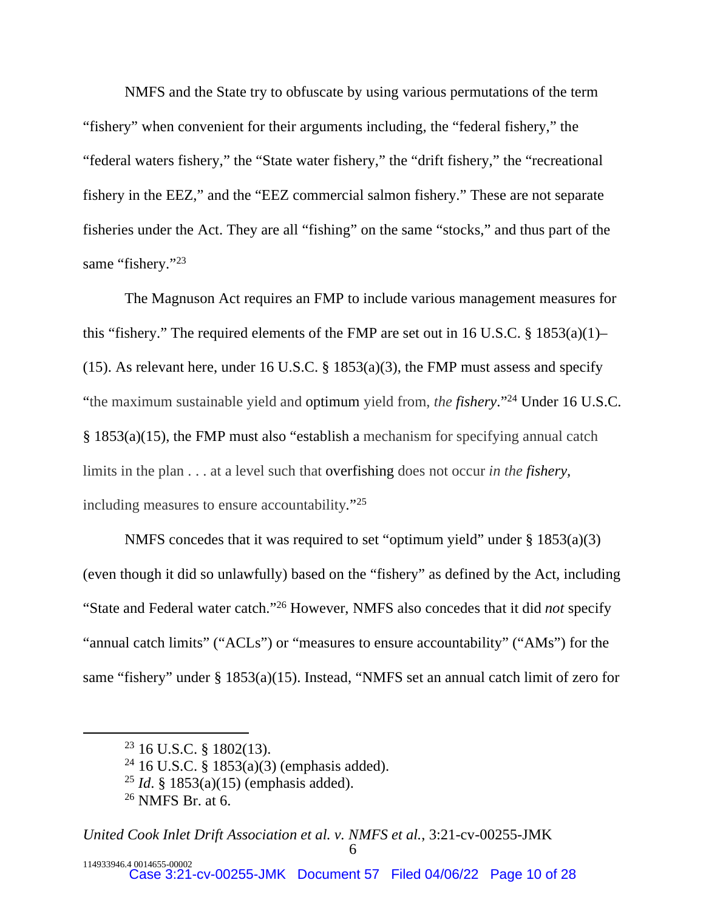NMFS and the State try to obfuscate by using various permutations of the term "fishery" when convenient for their arguments including, the "federal fishery," the "federal waters fishery," the "State water fishery," the "drift fishery," the "recreational fishery in the EEZ," and the "EEZ commercial salmon fishery." These are not separate fisheries under the Act. They are all "fishing" on the same "stocks," and thus part of the same "fishery."<sup>23</sup>

The Magnuson Act requires an FMP to include various management measures for this "fishery." The required elements of the FMP are set out in 16 U.S.C.  $\S$  1853(a)(1)– (15). As relevant here, under 16 U.S.C.  $\S$  1853(a)(3), the FMP must assess and specify "the maximum sustainable yield and optimum yield from, *the fishery*."<sup>24</sup> Under 16 U.S.C. § 1853(a)(15), the FMP must also "establish a mechanism for specifying annual catch limits in the plan . . . at a level such that overfishing does not occur *in the fishery,*  including measures to ensure accountability*.*" 25

NMFS concedes that it was required to set "optimum yield" under § 1853(a)(3) (even though it did so unlawfully) based on the "fishery" as defined by the Act, including "State and Federal water catch."<sup>26</sup> However, NMFS also concedes that it did *not* specify "annual catch limits" ("ACLs") or "measures to ensure accountability" ("AMs") for the same "fishery" under § 1853(a)(15). Instead, "NMFS set an annual catch limit of zero for

<sup>23</sup> 16 U.S.C. § 1802(13).

<sup>&</sup>lt;sup>24</sup> 16 U.S.C. § 1853(a)(3) (emphasis added).

<sup>25</sup> *Id*. § 1853(a)(15) (emphasis added).

<sup>26</sup> NMFS Br. at 6.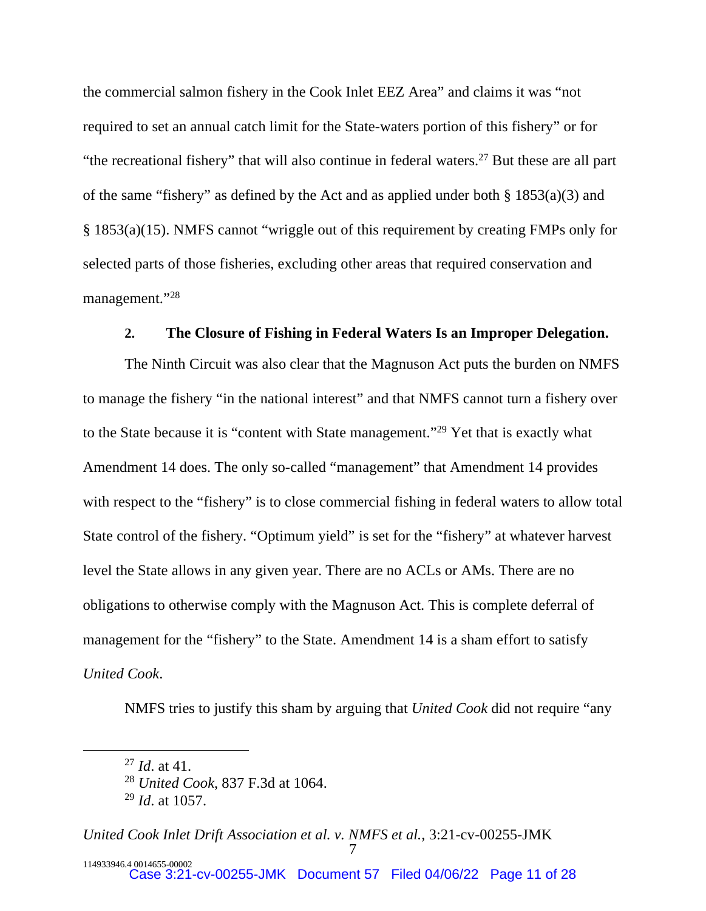the commercial salmon fishery in the Cook Inlet EEZ Area" and claims it was "not required to set an annual catch limit for the State-waters portion of this fishery" or for "the recreational fishery" that will also continue in federal waters. $27$  But these are all part of the same "fishery" as defined by the Act and as applied under both  $\S$  1853(a)(3) and § 1853(a)(15). NMFS cannot "wriggle out of this requirement by creating FMPs only for selected parts of those fisheries, excluding other areas that required conservation and management."<sup>28</sup>

#### **2. The Closure of Fishing in Federal Waters Is an Improper Delegation.**

The Ninth Circuit was also clear that the Magnuson Act puts the burden on NMFS to manage the fishery "in the national interest" and that NMFS cannot turn a fishery over to the State because it is "content with State management."<sup>29</sup> Yet that is exactly what Amendment 14 does. The only so-called "management" that Amendment 14 provides with respect to the "fishery" is to close commercial fishing in federal waters to allow total State control of the fishery. "Optimum yield" is set for the "fishery" at whatever harvest level the State allows in any given year. There are no ACLs or AMs. There are no obligations to otherwise comply with the Magnuson Act. This is complete deferral of management for the "fishery" to the State. Amendment 14 is a sham effort to satisfy *United Cook*.

NMFS tries to justify this sham by arguing that *United Cook* did not require "any

<sup>27</sup> *Id*. at 41.

<sup>28</sup> *United Cook*, 837 F.3d at 1064.

<sup>29</sup> *Id*. at 1057.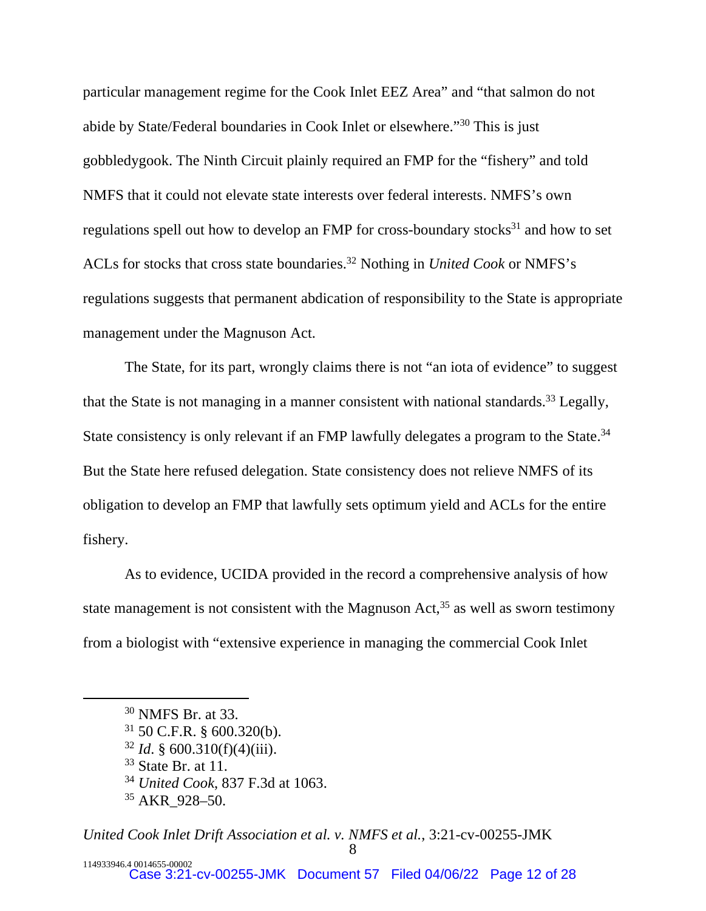particular management regime for the Cook Inlet EEZ Area" and "that salmon do not abide by State/Federal boundaries in Cook Inlet or elsewhere."<sup>30</sup> This is just gobbledygook. The Ninth Circuit plainly required an FMP for the "fishery" and told NMFS that it could not elevate state interests over federal interests. NMFS's own regulations spell out how to develop an FMP for cross-boundary stocks $31$  and how to set ACLs for stocks that cross state boundaries.<sup>32</sup> Nothing in *United Cook* or NMFS's regulations suggests that permanent abdication of responsibility to the State is appropriate management under the Magnuson Act.

The State, for its part, wrongly claims there is not "an iota of evidence" to suggest that the State is not managing in a manner consistent with national standards.<sup>33</sup> Legally, State consistency is only relevant if an FMP lawfully delegates a program to the State.<sup>34</sup> But the State here refused delegation. State consistency does not relieve NMFS of its obligation to develop an FMP that lawfully sets optimum yield and ACLs for the entire fishery.

As to evidence, UCIDA provided in the record a comprehensive analysis of how state management is not consistent with the Magnuson Act, $35$  as well as sworn testimony from a biologist with "extensive experience in managing the commercial Cook Inlet

 $32$  *Id.* § 600.310(f)(4)(iii).

<sup>30</sup> NMFS Br. at 33.

 $31$  50 C.F.R. § 600.320(b).

<sup>33</sup> State Br. at 11.

<sup>34</sup> *United Cook*, 837 F.3d at 1063.

<sup>35</sup> AKR\_928–50.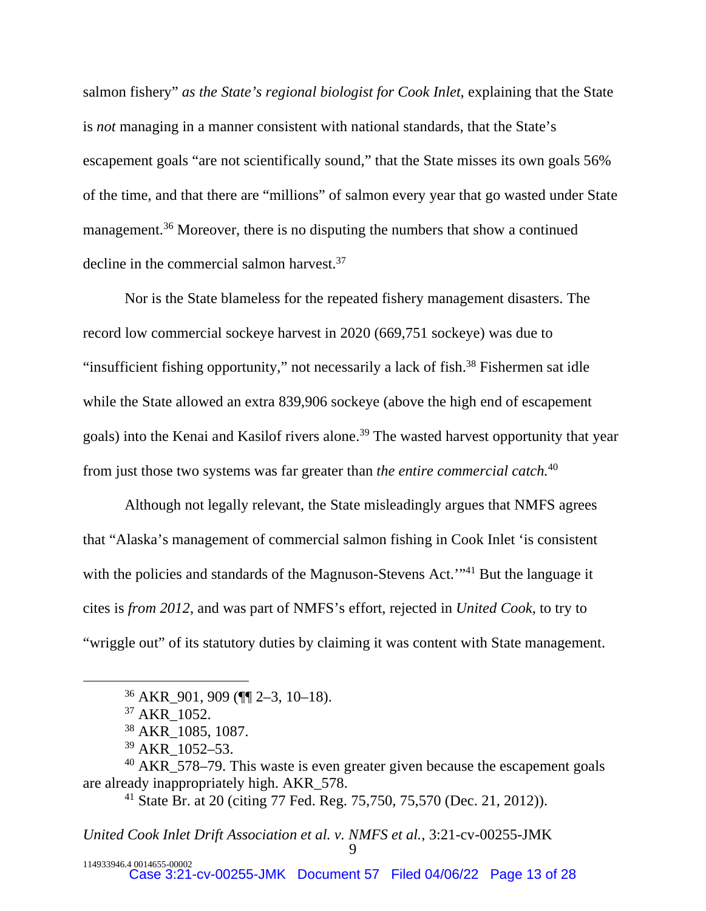salmon fishery" *as the State's regional biologist for Cook Inlet*, explaining that the State is *not* managing in a manner consistent with national standards, that the State's escapement goals "are not scientifically sound," that the State misses its own goals 56% of the time, and that there are "millions" of salmon every year that go wasted under State management.<sup>36</sup> Moreover, there is no disputing the numbers that show a continued decline in the commercial salmon harvest.<sup>37</sup>

Nor is the State blameless for the repeated fishery management disasters. The record low commercial sockeye harvest in 2020 (669,751 sockeye) was due to "insufficient fishing opportunity," not necessarily a lack of fish.<sup>38</sup> Fishermen sat idle while the State allowed an extra 839,906 sockeye (above the high end of escapement goals) into the Kenai and Kasilof rivers alone.<sup>39</sup> The wasted harvest opportunity that year from just those two systems was far greater than *the entire commercial catch.*<sup>40</sup>

Although not legally relevant, the State misleadingly argues that NMFS agrees that "Alaska's management of commercial salmon fishing in Cook Inlet 'is consistent with the policies and standards of the Magnuson-Stevens Act."<sup>41</sup> But the language it cites is *from 2012*, and was part of NMFS's effort, rejected in *United Cook*, to try to "wriggle out" of its statutory duties by claiming it was content with State management.

<sup>36</sup> AKR\_901, 909 (¶¶ 2–3, 10–18).

<sup>&</sup>lt;sup>37</sup> AKR 1052.

<sup>38</sup> AKR\_1085, 1087.

<sup>39</sup> AKR\_1052–53.

<sup>40</sup> AKR\_578–79. This waste is even greater given because the escapement goals are already inappropriately high. AKR\_578.

<sup>41</sup> State Br. at 20 (citing 77 Fed. Reg. 75,750, 75,570 (Dec. 21, 2012)).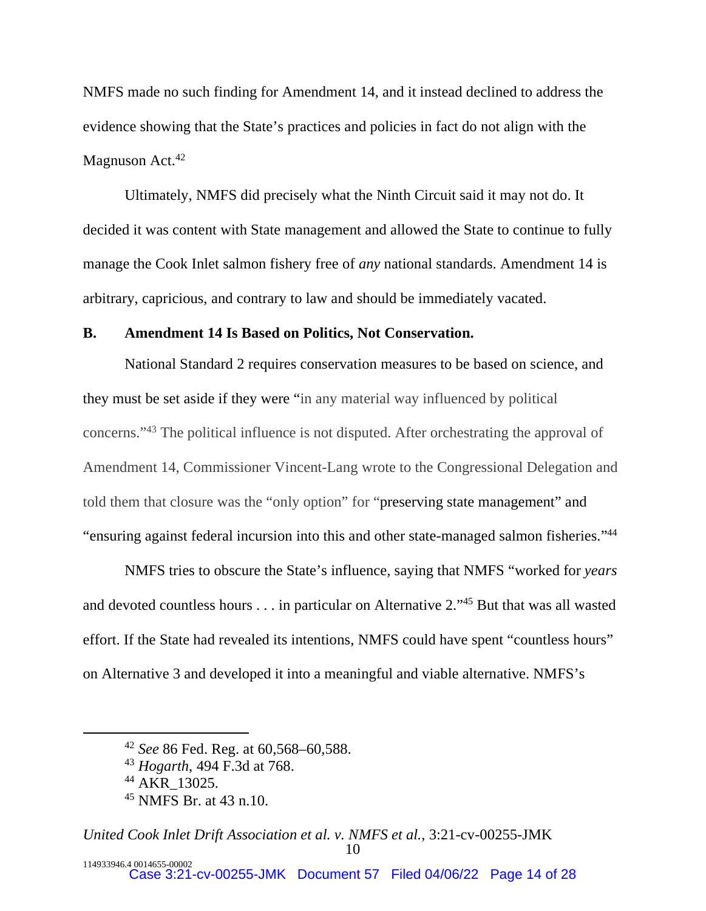NMFS made no such finding for Amendment 14, and it instead declined to address the evidence showing that the State's practices and policies in fact do not align with the Magnuson Act.<sup>42</sup>

Ultimately, NMFS did precisely what the Ninth Circuit said it may not do. It decided it was content with State management and allowed the State to continue to fully manage the Cook Inlet salmon fishery free of *any* national standards. Amendment 14 is arbitrary, capricious, and contrary to law and should be immediately vacated.

# **B. Amendment 14 Is Based on Politics, Not Conservation.**

National Standard 2 requires conservation measures to be based on science, and they must be set aside if they were "in any material way influenced by political concerns."<sup>43</sup> The political influence is not disputed. After orchestrating the approval of Amendment 14, Commissioner Vincent-Lang wrote to the Congressional Delegation and told them that closure was the "only option" for "preserving state management" and "ensuring against federal incursion into this and other state-managed salmon fisheries."<sup>44</sup>

NMFS tries to obscure the State's influence, saying that NMFS "worked for *years* and devoted countless hours . . . in particular on Alternative 2."<sup>45</sup> But that was all wasted effort. If the State had revealed its intentions, NMFS could have spent "countless hours" on Alternative 3 and developed it into a meaningful and viable alternative. NMFS's

<sup>42</sup> *See* 86 Fed. Reg. at 60,568–60,588.

<sup>43</sup> *Hogarth*, 494 F.3d at 768.

<sup>44</sup> AKR\_13025.

<sup>45</sup> NMFS Br. at 43 n.10.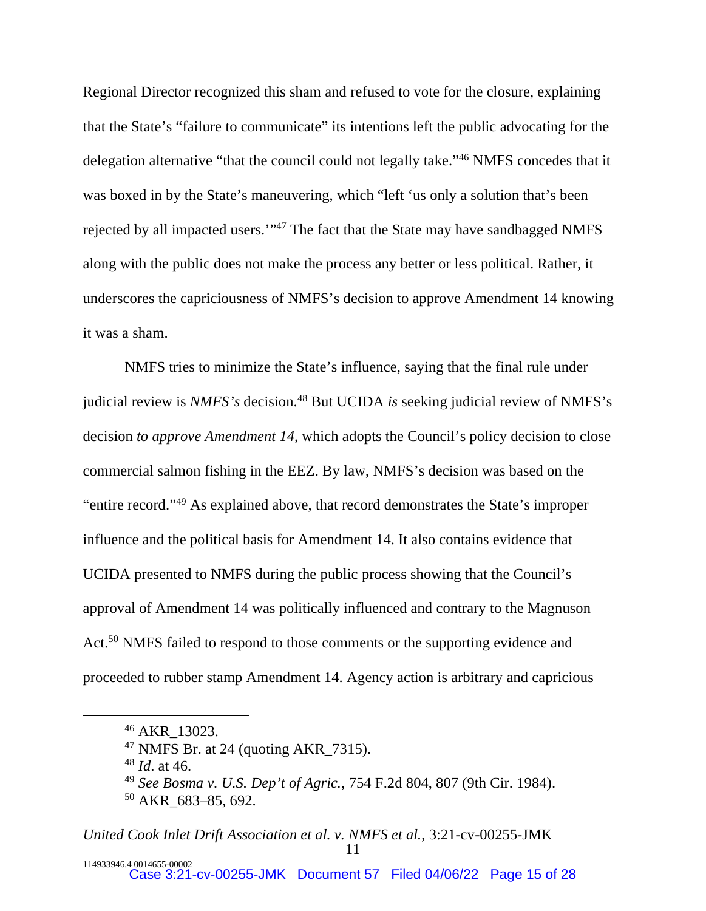Regional Director recognized this sham and refused to vote for the closure, explaining that the State's "failure to communicate" its intentions left the public advocating for the delegation alternative "that the council could not legally take."<sup>46</sup> NMFS concedes that it was boxed in by the State's maneuvering, which "left 'us only a solution that's been rejected by all impacted users.'"<sup>47</sup> The fact that the State may have sandbagged NMFS along with the public does not make the process any better or less political. Rather, it underscores the capriciousness of NMFS's decision to approve Amendment 14 knowing it was a sham.

NMFS tries to minimize the State's influence, saying that the final rule under judicial review is *NMFS's* decision.<sup>48</sup> But UCIDA *is* seeking judicial review of NMFS's decision *to approve Amendment 14*, which adopts the Council's policy decision to close commercial salmon fishing in the EEZ. By law, NMFS's decision was based on the "entire record."<sup>49</sup> As explained above, that record demonstrates the State's improper influence and the political basis for Amendment 14. It also contains evidence that UCIDA presented to NMFS during the public process showing that the Council's approval of Amendment 14 was politically influenced and contrary to the Magnuson Act.<sup>50</sup> NMFS failed to respond to those comments or the supporting evidence and proceeded to rubber stamp Amendment 14. Agency action is arbitrary and capricious

<sup>46</sup> AKR\_13023.

 $47$  NMFS Br. at 24 (quoting AKR 7315).

<sup>48</sup> *Id*. at 46.

<sup>49</sup> *See Bosma v. U.S. Dep't of Agric.*, 754 F.2d 804, 807 (9th Cir. 1984).

<sup>50</sup> AKR\_683–85, 692.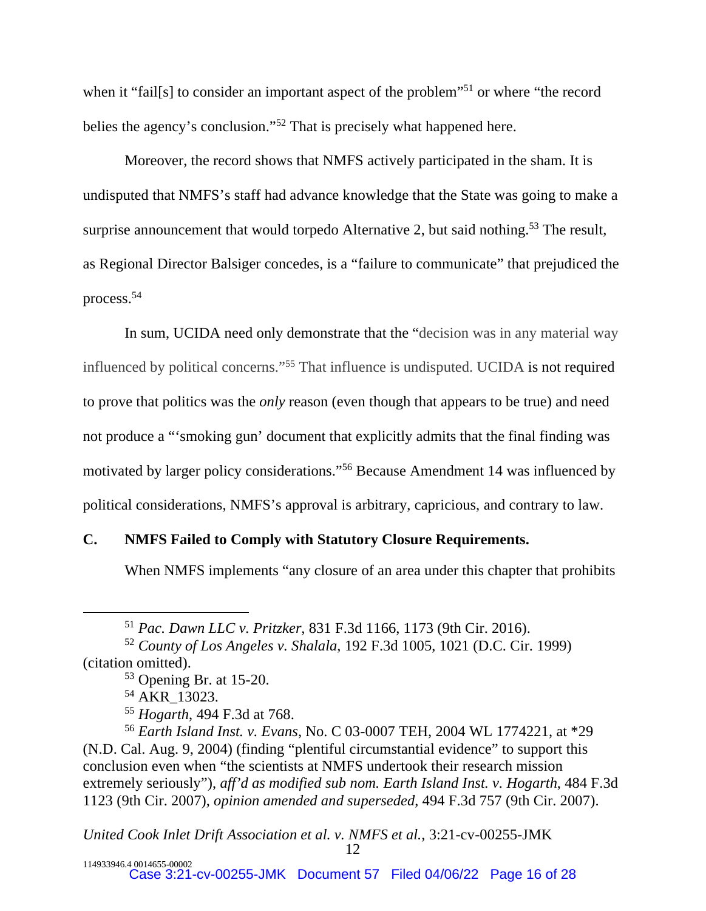when it "fail[s] to consider an important aspect of the problem"<sup>51</sup> or where "the record" belies the agency's conclusion."<sup>52</sup> That is precisely what happened here.

Moreover, the record shows that NMFS actively participated in the sham. It is undisputed that NMFS's staff had advance knowledge that the State was going to make a surprise announcement that would torpedo Alternative 2, but said nothing.<sup>53</sup> The result, as Regional Director Balsiger concedes, is a "failure to communicate" that prejudiced the process.<sup>54</sup>

In sum, UCIDA need only demonstrate that the "decision was in any material way influenced by political concerns."<sup>55</sup> That influence is undisputed. UCIDA is not required to prove that politics was the *only* reason (even though that appears to be true) and need not produce a "'smoking gun' document that explicitly admits that the final finding was motivated by larger policy considerations."<sup>56</sup> Because Amendment 14 was influenced by political considerations, NMFS's approval is arbitrary, capricious, and contrary to law.

# **C. NMFS Failed to Comply with Statutory Closure Requirements.**

When NMFS implements "any closure of an area under this chapter that prohibits

*United Cook Inlet Drift Association et al. v. NMFS et al.*, 3:21-cv-00255-JMK

12

<sup>51</sup> *Pac. Dawn LLC v. Pritzker*, 831 F.3d 1166, 1173 (9th Cir. 2016).

<sup>52</sup> *County of Los Angeles v. Shalala*, 192 F.3d 1005, 1021 (D.C. Cir. 1999) (citation omitted).

<sup>53</sup> Opening Br. at 15-20.

<sup>&</sup>lt;sup>54</sup> AKR 13023.

<sup>55</sup> *Hogarth*, 494 F.3d at 768.

<sup>56</sup> *Earth Island Inst. v. Evans*, No. C 03-0007 TEH, 2004 WL 1774221, at \*29 (N.D. Cal. Aug. 9, 2004) (finding "plentiful circumstantial evidence" to support this conclusion even when "the scientists at NMFS undertook their research mission extremely seriously"), *aff'd as modified sub nom. Earth Island Inst. v. Hogarth*, 484 F.3d 1123 (9th Cir. 2007), *opinion amended and superseded*, 494 F.3d 757 (9th Cir. 2007).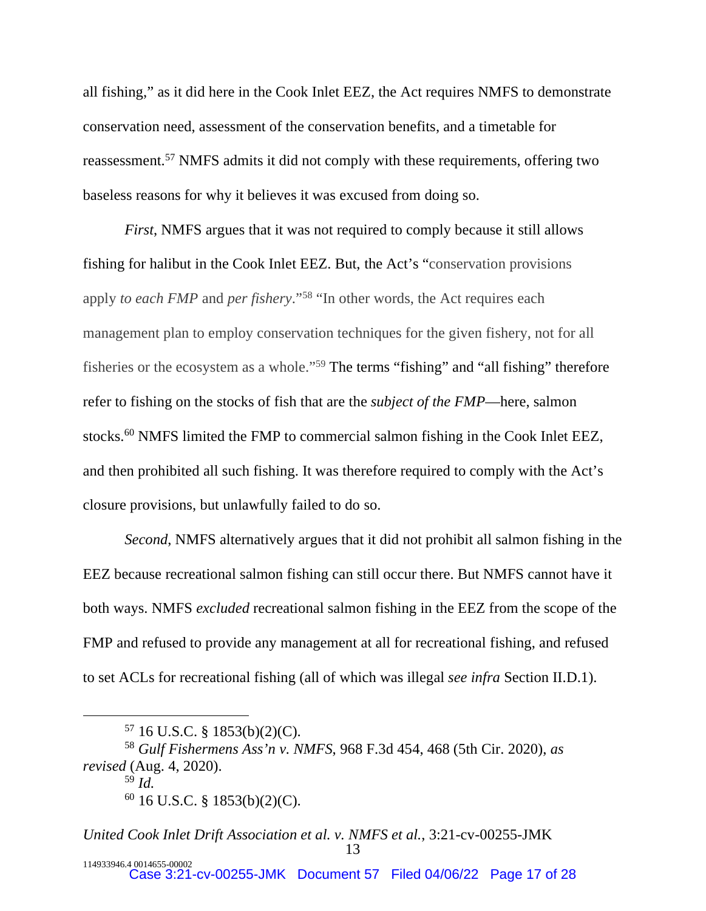all fishing," as it did here in the Cook Inlet EEZ, the Act requires NMFS to demonstrate conservation need, assessment of the conservation benefits, and a timetable for reassessment.<sup>57</sup> NMFS admits it did not comply with these requirements, offering two baseless reasons for why it believes it was excused from doing so.

*First*, NMFS argues that it was not required to comply because it still allows fishing for halibut in the Cook Inlet EEZ. But, the Act's "conservation provisions apply *to each FMP* and *per fishery*."<sup>58</sup> "In other words, the Act requires each management plan to employ conservation techniques for the given fishery, not for all fisheries or the ecosystem as a whole."<sup>59</sup> The terms "fishing" and "all fishing" therefore refer to fishing on the stocks of fish that are the *subject of the FMP*—here, salmon stocks.<sup>60</sup> NMFS limited the FMP to commercial salmon fishing in the Cook Inlet EEZ, and then prohibited all such fishing. It was therefore required to comply with the Act's closure provisions, but unlawfully failed to do so.

*Second*, NMFS alternatively argues that it did not prohibit all salmon fishing in the EEZ because recreational salmon fishing can still occur there. But NMFS cannot have it both ways. NMFS *excluded* recreational salmon fishing in the EEZ from the scope of the FMP and refused to provide any management at all for recreational fishing, and refused to set ACLs for recreational fishing (all of which was illegal *see infra* Section II.D.1).

 $57$  16 U.S.C. § 1853(b)(2)(C).

<sup>58</sup> *Gulf Fishermens Ass'n v. NMFS*, 968 F.3d 454, 468 (5th Cir. 2020), *as revised* (Aug. 4, 2020).

<sup>59</sup> *Id.*

 $60$  16 U.S.C. § 1853(b)(2)(C).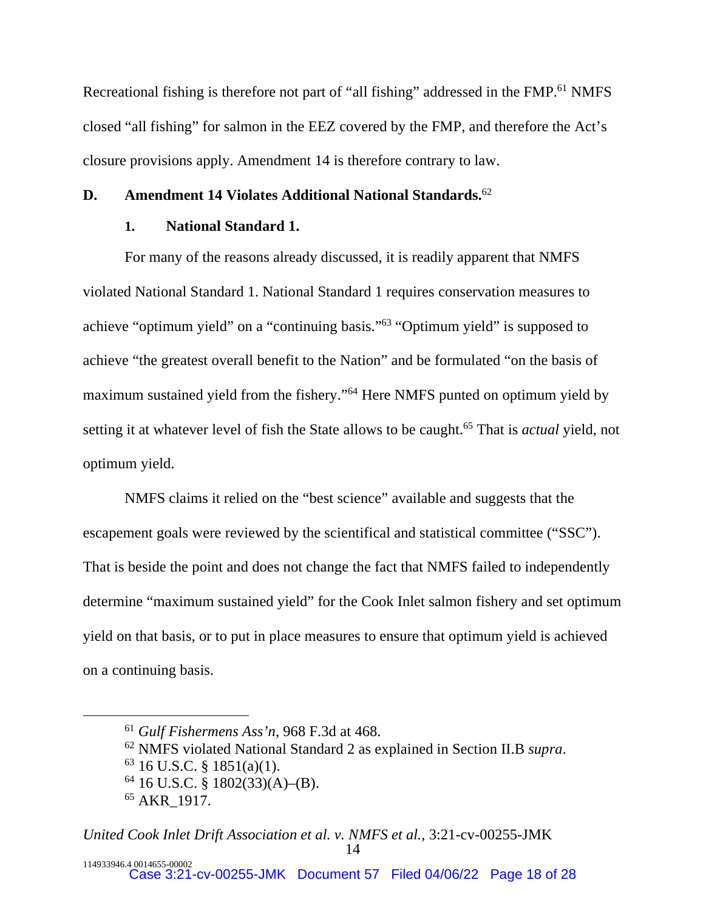Recreational fishing is therefore not part of "all fishing" addressed in the FMP.<sup>61</sup> NMFS closed "all fishing" for salmon in the EEZ covered by the FMP, and therefore the Act's closure provisions apply. Amendment 14 is therefore contrary to law.

## **D. Amendment 14 Violates Additional National Standards.**<sup>62</sup>

# **1. National Standard 1.**

For many of the reasons already discussed, it is readily apparent that NMFS violated National Standard 1. National Standard 1 requires conservation measures to achieve "optimum yield" on a "continuing basis."<sup>63</sup> "Optimum yield" is supposed to achieve "the greatest overall benefit to the Nation" and be formulated "on the basis of maximum sustained yield from the fishery."<sup>64</sup> Here NMFS punted on optimum yield by setting it at whatever level of fish the State allows to be caught.<sup>65</sup> That is *actual* yield, not optimum yield.

NMFS claims it relied on the "best science" available and suggests that the escapement goals were reviewed by the scientifical and statistical committee ("SSC"). That is beside the point and does not change the fact that NMFS failed to independently determine "maximum sustained yield" for the Cook Inlet salmon fishery and set optimum yield on that basis, or to put in place measures to ensure that optimum yield is achieved on a continuing basis.

<sup>61</sup> *Gulf Fishermens Ass'n*, 968 F.3d at 468.

<sup>62</sup> NMFS violated National Standard 2 as explained in Section II.B *supra*.

 $63$  16 U.S.C. § 1851(a)(1).

 $64$  16 U.S.C. § 1802(33)(A)–(B).

<sup>65</sup> AKR\_1917.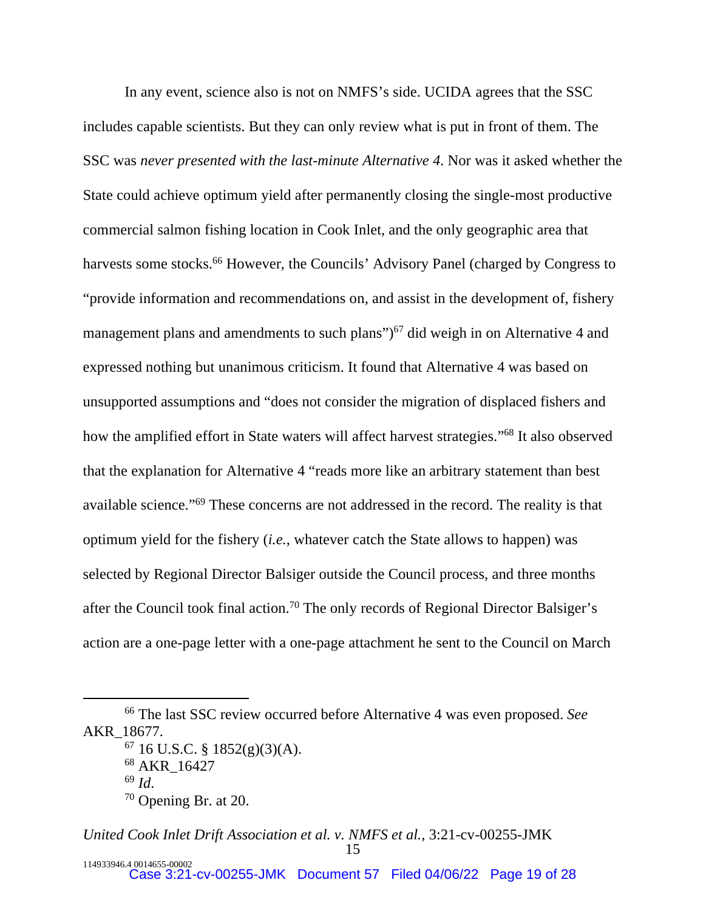In any event, science also is not on NMFS's side. UCIDA agrees that the SSC includes capable scientists. But they can only review what is put in front of them. The SSC was *never presented with the last-minute Alternative 4*. Nor was it asked whether the State could achieve optimum yield after permanently closing the single-most productive commercial salmon fishing location in Cook Inlet, and the only geographic area that harvests some stocks.<sup>66</sup> However, the Councils' Advisory Panel (charged by Congress to "provide information and recommendations on, and assist in the development of, fishery management plans and amendments to such plans" $)$ <sup>67</sup> did weigh in on Alternative 4 and expressed nothing but unanimous criticism. It found that Alternative 4 was based on unsupported assumptions and "does not consider the migration of displaced fishers and how the amplified effort in State waters will affect harvest strategies."<sup>68</sup> It also observed that the explanation for Alternative 4 "reads more like an arbitrary statement than best available science."<sup>69</sup> These concerns are not addressed in the record. The reality is that optimum yield for the fishery (*i.e.*, whatever catch the State allows to happen) was selected by Regional Director Balsiger outside the Council process, and three months after the Council took final action.<sup>70</sup> The only records of Regional Director Balsiger's action are a one-page letter with a one-page attachment he sent to the Council on March

<sup>66</sup> The last SSC review occurred before Alternative 4 was even proposed. *See* AKR\_18677.

 $67$  16 U.S.C. § 1852(g)(3)(A).

<sup>68</sup> AKR\_16427

<sup>69</sup> *Id*.

<sup>70</sup> Opening Br. at 20.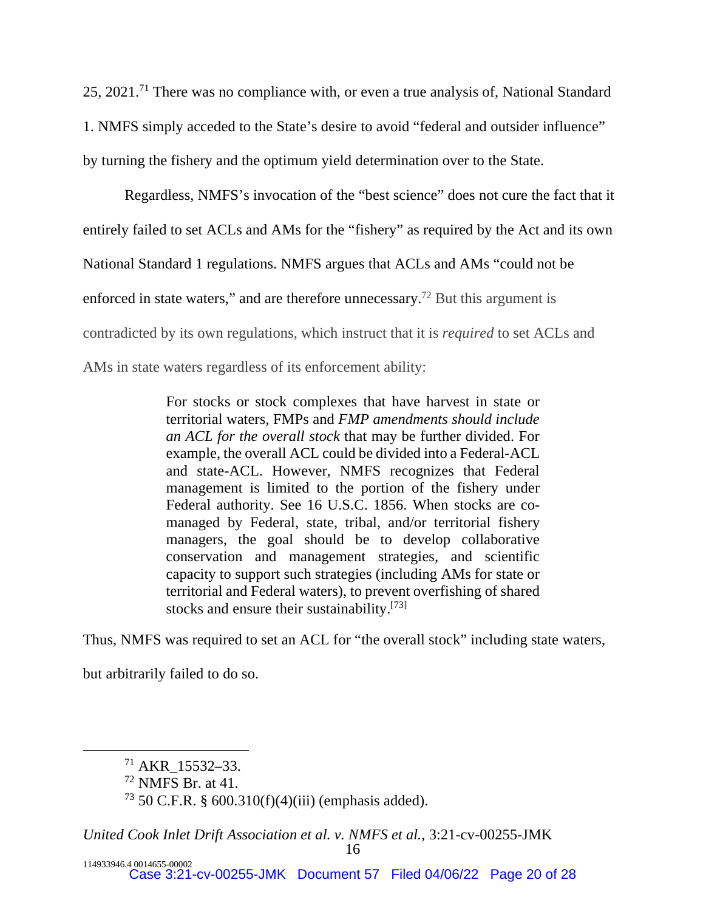25, 2021.<sup>71</sup> There was no compliance with, or even a true analysis of, National Standard 1. NMFS simply acceded to the State's desire to avoid "federal and outsider influence" by turning the fishery and the optimum yield determination over to the State.

Regardless, NMFS's invocation of the "best science" does not cure the fact that it entirely failed to set ACLs and AMs for the "fishery" as required by the Act and its own National Standard 1 regulations. NMFS argues that ACLs and AMs "could not be enforced in state waters," and are therefore unnecessary.<sup>72</sup> But this argument is contradicted by its own regulations, which instruct that it is *required* to set ACLs and AMs in state waters regardless of its enforcement ability:

> For stocks or stock complexes that have harvest in state or territorial waters, FMPs and *FMP amendments should include an ACL for the overall stock* that may be further divided. For example, the overall ACL could be divided into a Federal-ACL and state-ACL. However, NMFS recognizes that Federal management is limited to the portion of the fishery under Federal authority. See 16 U.S.C. 1856. When stocks are comanaged by Federal, state, tribal, and/or territorial fishery managers, the goal should be to develop collaborative conservation and management strategies, and scientific capacity to support such strategies (including AMs for state or territorial and Federal waters), to prevent overfishing of shared stocks and ensure their sustainability.<sup>[73]</sup>

Thus, NMFS was required to set an ACL for "the overall stock" including state waters,

but arbitrarily failed to do so.

 $71$  AKR 15532–33.

<sup>72</sup> NMFS Br. at 41.

 $73\,50\,$  C.F.R. § 600.310(f)(4)(iii) (emphasis added).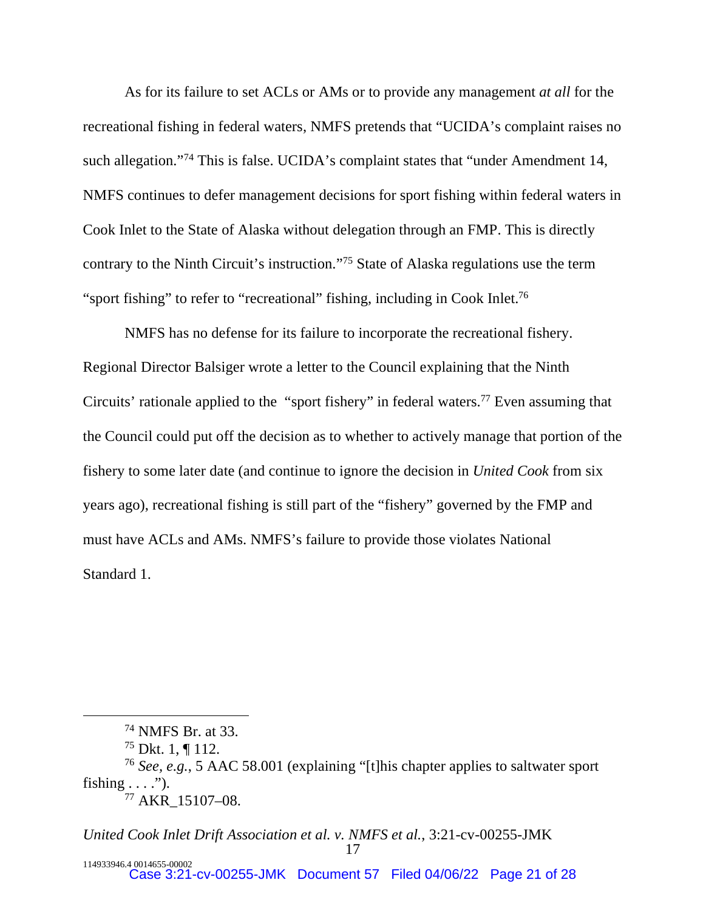As for its failure to set ACLs or AMs or to provide any management *at all* for the recreational fishing in federal waters, NMFS pretends that "UCIDA's complaint raises no such allegation."<sup>74</sup> This is false. UCIDA's complaint states that "under Amendment 14, NMFS continues to defer management decisions for sport fishing within federal waters in Cook Inlet to the State of Alaska without delegation through an FMP. This is directly contrary to the Ninth Circuit's instruction."<sup>75</sup> State of Alaska regulations use the term "sport fishing" to refer to "recreational" fishing, including in Cook Inlet.<sup>76</sup>

NMFS has no defense for its failure to incorporate the recreational fishery. Regional Director Balsiger wrote a letter to the Council explaining that the Ninth Circuits' rationale applied to the "sport fishery" in federal waters.<sup>77</sup> Even assuming that the Council could put off the decision as to whether to actively manage that portion of the fishery to some later date (and continue to ignore the decision in *United Cook* from six years ago), recreational fishing is still part of the "fishery" governed by the FMP and must have ACLs and AMs. NMFS's failure to provide those violates National Standard 1.

<sup>74</sup> NMFS Br. at 33.

 $^{75}$  Dkt. 1, ¶ 112.

<sup>76</sup> *See, e.g.*, 5 AAC 58.001 (explaining "[t]his chapter applies to saltwater sport fishing  $\dots$ "). <sup>77</sup> AKR\_15107–08.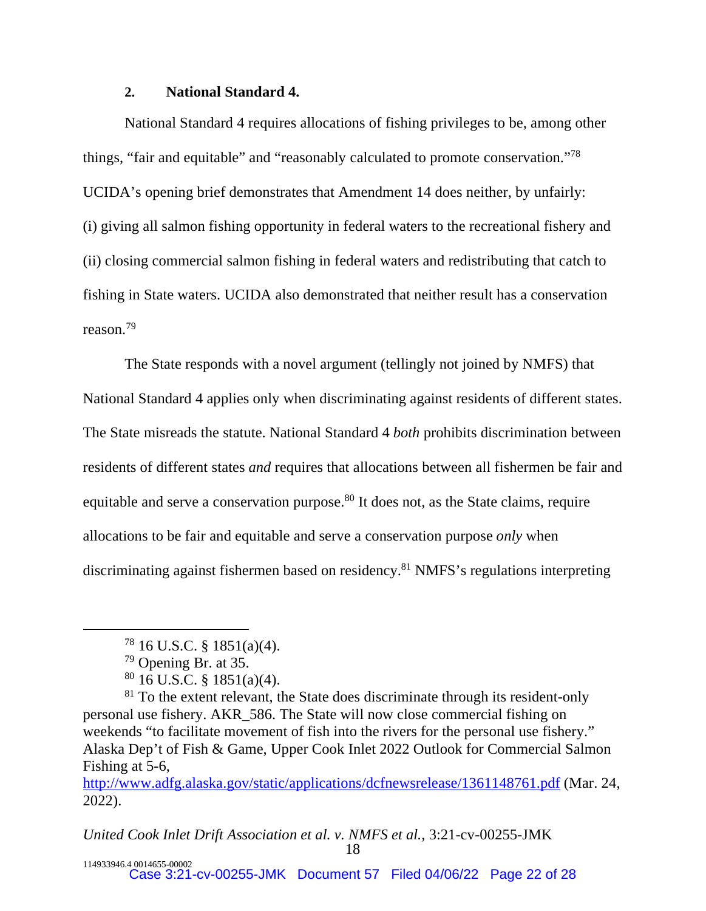#### **2. National Standard 4.**

National Standard 4 requires allocations of fishing privileges to be, among other things, "fair and equitable" and "reasonably calculated to promote conservation."<sup>78</sup> UCIDA's opening brief demonstrates that Amendment 14 does neither, by unfairly: (i) giving all salmon fishing opportunity in federal waters to the recreational fishery and (ii) closing commercial salmon fishing in federal waters and redistributing that catch to fishing in State waters. UCIDA also demonstrated that neither result has a conservation reason.<sup>79</sup>

The State responds with a novel argument (tellingly not joined by NMFS) that National Standard 4 applies only when discriminating against residents of different states. The State misreads the statute. National Standard 4 *both* prohibits discrimination between residents of different states *and* requires that allocations between all fishermen be fair and equitable and serve a conservation purpose.<sup>80</sup> It does not, as the State claims, require allocations to be fair and equitable and serve a conservation purpose *only* when discriminating against fishermen based on residency.<sup>81</sup> NMFS's regulations interpreting

 $78$  16 U.S.C. § 1851(a)(4).

<sup>79</sup> Opening Br. at 35.

 $80$  16 U.S.C. § 1851(a)(4).

 $81$  To the extent relevant, the State does discriminate through its resident-only personal use fishery. AKR\_586. The State will now close commercial fishing on weekends "to facilitate movement of fish into the rivers for the personal use fishery." Alaska Dep't of Fish & Game, Upper Cook Inlet 2022 Outlook for Commercial Salmon Fishing at 5-6,

<http://www.adfg.alaska.gov/static/applications/dcfnewsrelease/1361148761.pdf>(Mar. 24, 2022).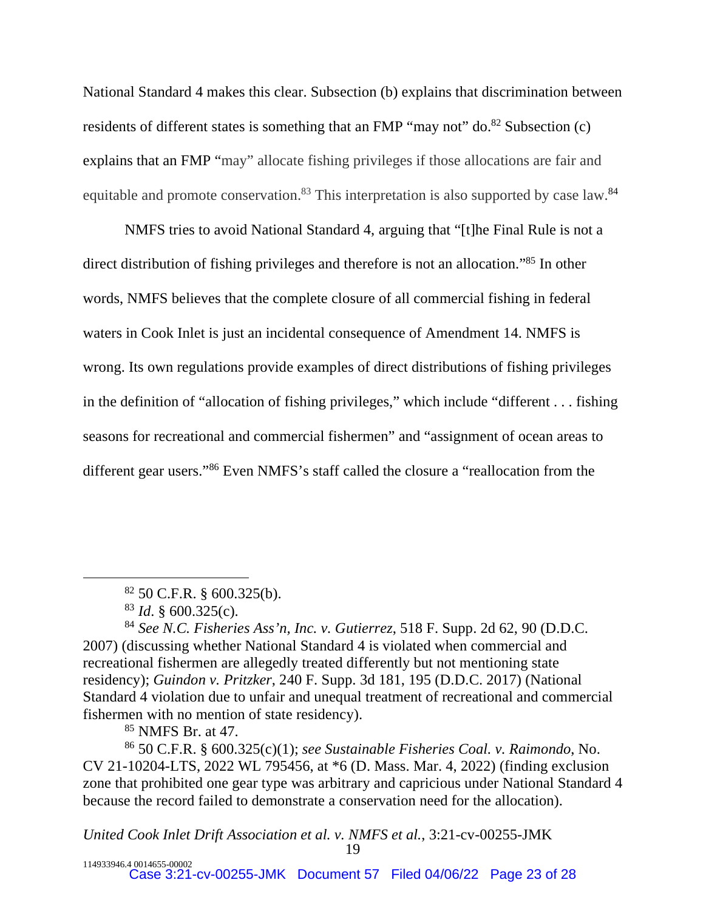National Standard 4 makes this clear. Subsection (b) explains that discrimination between residents of different states is something that an FMP "may not" do. $82$  Subsection (c) explains that an FMP "may" allocate fishing privileges if those allocations are fair and equitable and promote conservation.<sup>83</sup> This interpretation is also supported by case law.<sup>84</sup>

NMFS tries to avoid National Standard 4, arguing that "[t]he Final Rule is not a direct distribution of fishing privileges and therefore is not an allocation."<sup>85</sup> In other words, NMFS believes that the complete closure of all commercial fishing in federal waters in Cook Inlet is just an incidental consequence of Amendment 14. NMFS is wrong. Its own regulations provide examples of direct distributions of fishing privileges in the definition of "allocation of fishing privileges," which include "different . . . fishing seasons for recreational and commercial fishermen" and "assignment of ocean areas to different gear users."<sup>86</sup> Even NMFS's staff called the closure a "reallocation from the

<sup>85</sup> NMFS Br. at 47.

<sup>86</sup> 50 C.F.R. § 600.325(c)(1); *see Sustainable Fisheries Coal. v. Raimondo*, No. CV 21-10204-LTS, 2022 WL 795456, at \*6 (D. Mass. Mar. 4, 2022) (finding exclusion zone that prohibited one gear type was arbitrary and capricious under National Standard 4 because the record failed to demonstrate a conservation need for the allocation).

<sup>82</sup> 50 C.F.R. § 600.325(b).

<sup>83</sup> *Id*. § 600.325(c).

<sup>84</sup> *See N.C. Fisheries Ass'n, Inc. v. Gutierrez*, 518 F. Supp. 2d 62, 90 (D.D.C. 2007) (discussing whether National Standard 4 is violated when commercial and recreational fishermen are allegedly treated differently but not mentioning state residency); *Guindon v. Pritzker*, 240 F. Supp. 3d 181, 195 (D.D.C. 2017) (National Standard 4 violation due to unfair and unequal treatment of recreational and commercial fishermen with no mention of state residency).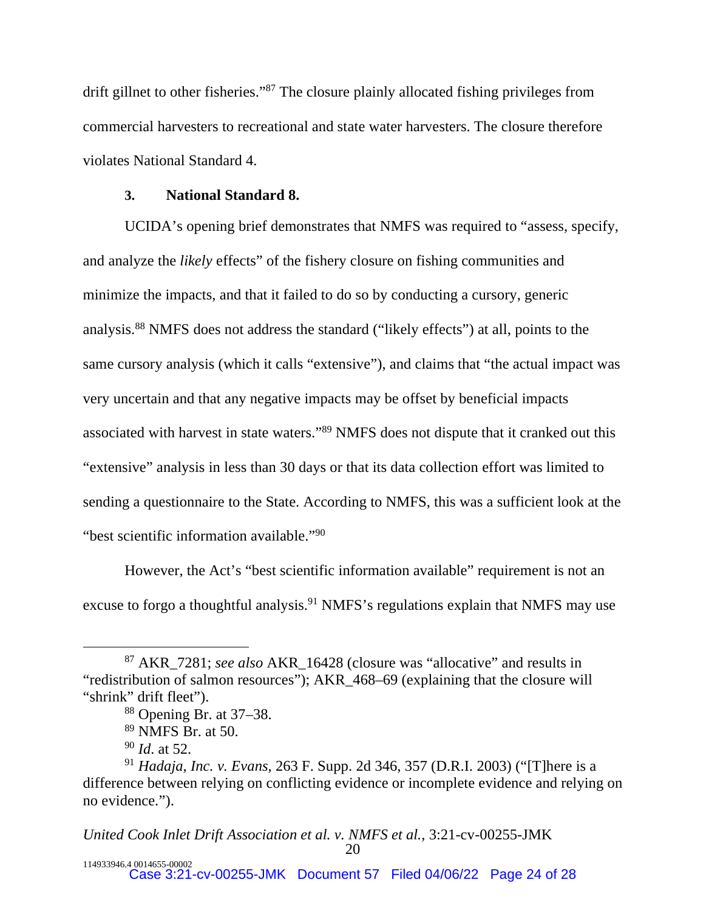drift gillnet to other fisheries."<sup>87</sup> The closure plainly allocated fishing privileges from commercial harvesters to recreational and state water harvesters. The closure therefore violates National Standard 4.

#### **3. National Standard 8.**

UCIDA's opening brief demonstrates that NMFS was required to "assess, specify, and analyze the *likely* effects" of the fishery closure on fishing communities and minimize the impacts, and that it failed to do so by conducting a cursory, generic analysis.<sup>88</sup> NMFS does not address the standard ("likely effects") at all, points to the same cursory analysis (which it calls "extensive"), and claims that "the actual impact was very uncertain and that any negative impacts may be offset by beneficial impacts associated with harvest in state waters."<sup>89</sup> NMFS does not dispute that it cranked out this "extensive" analysis in less than 30 days or that its data collection effort was limited to sending a questionnaire to the State. According to NMFS, this was a sufficient look at the "best scientific information available."<sup>90</sup>

However, the Act's "best scientific information available" requirement is not an excuse to forgo a thoughtful analysis.<sup>91</sup> NMFS's regulations explain that NMFS may use

<sup>87</sup> AKR\_7281; *see also* AKR\_16428 (closure was "allocative" and results in "redistribution of salmon resources"); AKR\_468–69 (explaining that the closure will "shrink" drift fleet").

<sup>88</sup> Opening Br. at 37–38.

 $89$  NMFS Br. at 50.

<sup>90</sup> *Id*. at 52.

<sup>91</sup> *Hadaja, Inc. v. Evans*, 263 F. Supp. 2d 346, 357 (D.R.I. 2003) ("[T]here is a difference between relying on conflicting evidence or incomplete evidence and relying on no evidence.").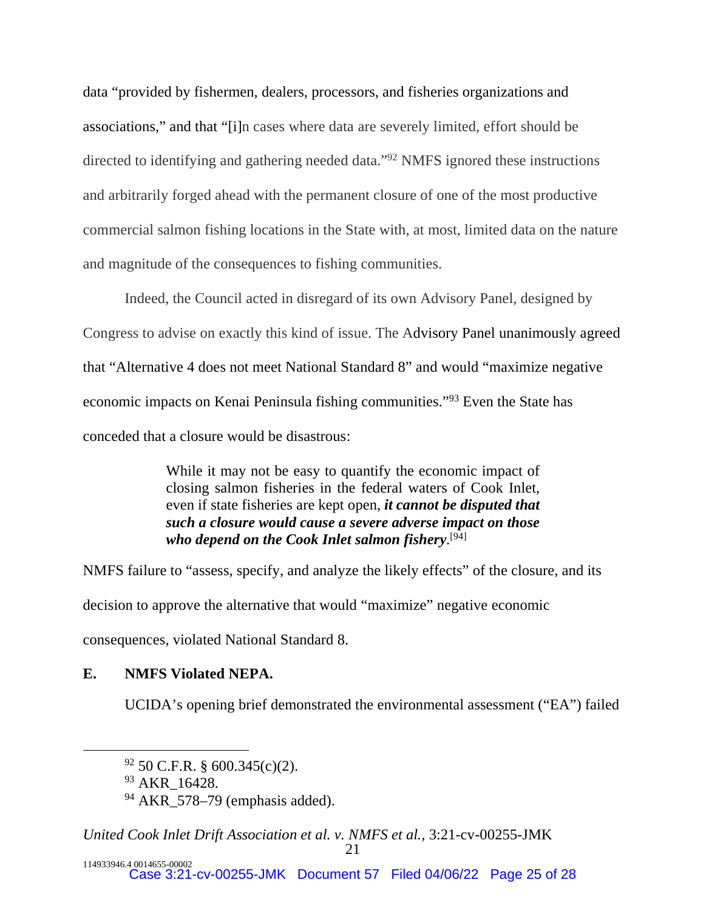data "provided by fishermen, dealers, processors, and fisheries organizations and associations," and that "[i]n cases where data are severely limited, effort should be directed to identifying and gathering needed data."<sup>92</sup> NMFS ignored these instructions and arbitrarily forged ahead with the permanent closure of one of the most productive commercial salmon fishing locations in the State with, at most, limited data on the nature and magnitude of the consequences to fishing communities.

Indeed, the Council acted in disregard of its own Advisory Panel, designed by Congress to advise on exactly this kind of issue. The Advisory Panel unanimously agreed that "Alternative 4 does not meet National Standard 8" and would "maximize negative economic impacts on Kenai Peninsula fishing communities."<sup>93</sup> Even the State has conceded that a closure would be disastrous:

> While it may not be easy to quantify the economic impact of closing salmon fisheries in the federal waters of Cook Inlet, even if state fisheries are kept open, *it cannot be disputed that such a closure would cause a severe adverse impact on those who depend on the Cook Inlet salmon fishery*. [94]

NMFS failure to "assess, specify, and analyze the likely effects" of the closure, and its decision to approve the alternative that would "maximize" negative economic consequences, violated National Standard 8.

# **E. NMFS Violated NEPA.**

UCIDA's opening brief demonstrated the environmental assessment ("EA") failed

<sup>92</sup> 50 C.F.R. § 600.345(c)(2).

<sup>&</sup>lt;sup>93</sup> AKR 16428.

 $94$  AKR $\overline{\phantom{a}}$ 578–79 (emphasis added).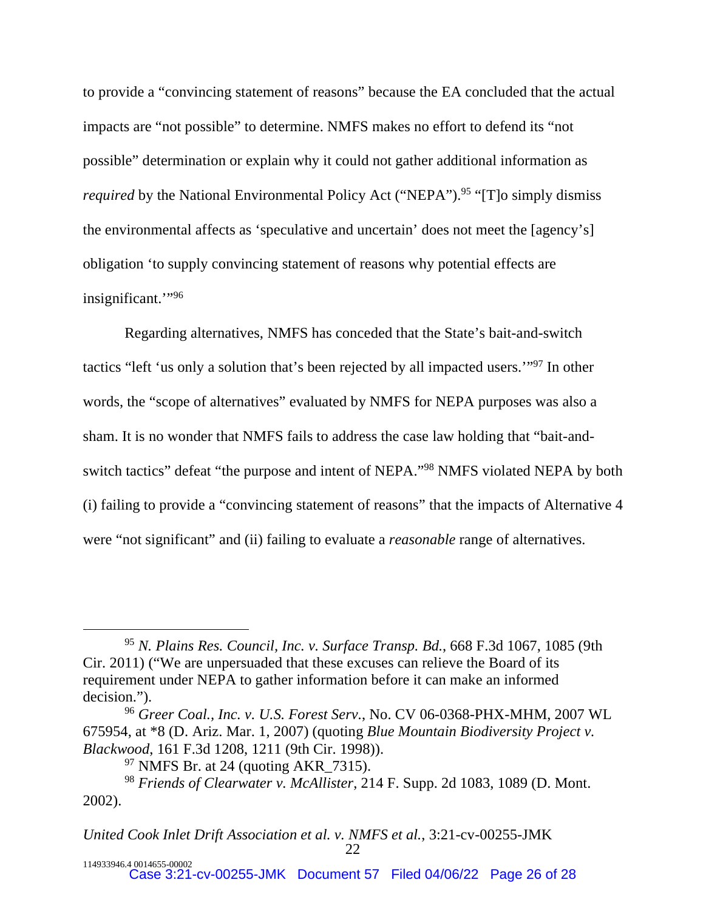to provide a "convincing statement of reasons" because the EA concluded that the actual impacts are "not possible" to determine. NMFS makes no effort to defend its "not possible" determination or explain why it could not gather additional information as *required* by the National Environmental Policy Act ("NEPA").<sup>95</sup> "[T]o simply dismiss the environmental affects as 'speculative and uncertain' does not meet the [agency's] obligation 'to supply convincing statement of reasons why potential effects are insignificant."<sup>96</sup>

Regarding alternatives, NMFS has conceded that the State's bait-and-switch tactics "left 'us only a solution that's been rejected by all impacted users.'"<sup>97</sup> In other words, the "scope of alternatives" evaluated by NMFS for NEPA purposes was also a sham. It is no wonder that NMFS fails to address the case law holding that "bait-andswitch tactics" defeat "the purpose and intent of NEPA."<sup>98</sup> NMFS violated NEPA by both (i) failing to provide a "convincing statement of reasons" that the impacts of Alternative 4 were "not significant" and (ii) failing to evaluate a *reasonable* range of alternatives.

<sup>95</sup> *N. Plains Res. Council, Inc. v. Surface Transp. Bd.*, 668 F.3d 1067, 1085 (9th Cir. 2011) ("We are unpersuaded that these excuses can relieve the Board of its requirement under NEPA to gather information before it can make an informed decision.").

<sup>96</sup> *Greer Coal., Inc. v. U.S. Forest Serv.*, No. CV 06-0368-PHX-MHM, 2007 WL 675954, at \*8 (D. Ariz. Mar. 1, 2007) (quoting *Blue Mountain Biodiversity Project v. Blackwood*, 161 F.3d 1208, 1211 (9th Cir. 1998)).

<sup>97</sup> NMFS Br. at 24 (quoting AKR\_7315).

<sup>98</sup> *Friends of Clearwater v. McAllister*, 214 F. Supp. 2d 1083, 1089 (D. Mont. 2002).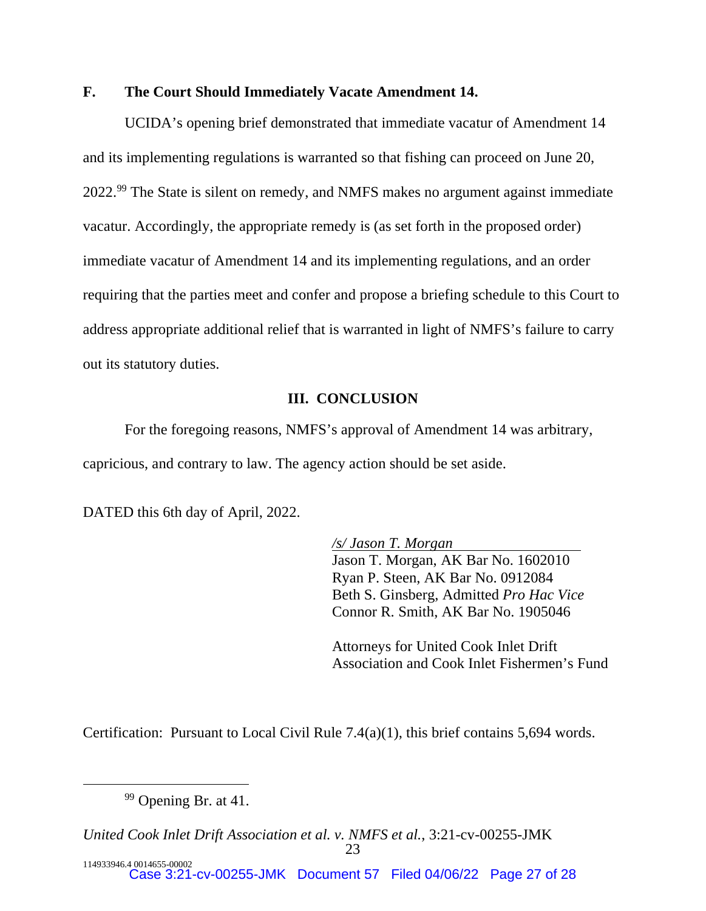# **F. The Court Should Immediately Vacate Amendment 14.**

UCIDA's opening brief demonstrated that immediate vacatur of Amendment 14 and its implementing regulations is warranted so that fishing can proceed on June 20, 2022.<sup>99</sup> The State is silent on remedy, and NMFS makes no argument against immediate vacatur. Accordingly, the appropriate remedy is (as set forth in the proposed order) immediate vacatur of Amendment 14 and its implementing regulations, and an order requiring that the parties meet and confer and propose a briefing schedule to this Court to address appropriate additional relief that is warranted in light of NMFS's failure to carry out its statutory duties.

### **III. CONCLUSION**

For the foregoing reasons, NMFS's approval of Amendment 14 was arbitrary, capricious, and contrary to law. The agency action should be set aside.

DATED this 6th day of April, 2022.

*/s/ Jason T. Morgan*  Jason T. Morgan, AK Bar No. 1602010 Ryan P. Steen, AK Bar No. 0912084 Beth S. Ginsberg, Admitted *Pro Hac Vice*  Connor R. Smith, AK Bar No. 1905046

Attorneys for United Cook Inlet Drift Association and Cook Inlet Fishermen's Fund

Certification: Pursuant to Local Civil Rule 7.4(a)(1), this brief contains 5,694 words.

<sup>&</sup>lt;sup>99</sup> Opening Br. at 41.